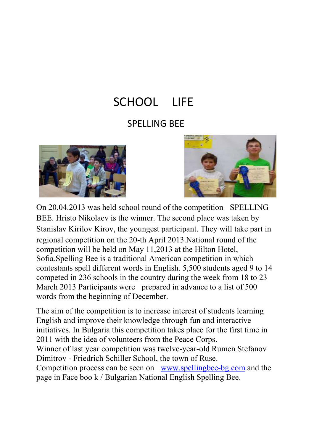## SCHOOL LIFE

#### SPELLING BEE





On 20.04.2013 was held school round of the competition SPELLING BEE. Hristo Nikolaev is the winner. The second place was taken by Stanislav Kirilov Kirov, the youngest participant. They will take part in regional competition on the 20-th April 2013.National round of the competition will be held on May 11,2013 at the Hilton Hotel, Sofia.Spelling Bee is a traditional American competition in which contestants spell different words in English. 5,500 students aged 9 to 14 competed in 236 schools in the country during the week from 18 to 23 March 2013 Participants were prepared in advance to a list of 500 words from the beginning of December.

The aim of the competition is to increase interest of students learning English and improve their knowledge through fun and interactive initiatives. In Bulgaria this competition takes place for the first time in 2011 with the idea of volunteers from the Peace Corps. Winner of last year competition was twelve-year-old Rumen Stefanov Dimitrov - Friedrich Schiller School, the town of Ruse. Competition process can be seen on www.spellingbee-bg.com and the page in Face boo k / Bulgarian National English Spelling Bee.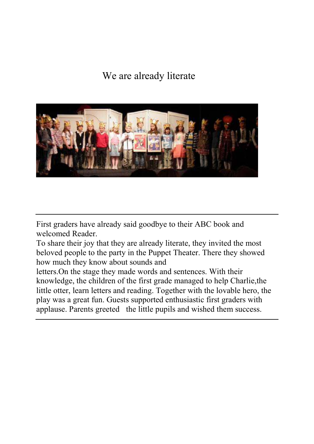#### We are already literate



First graders have already said goodbye to their ABC book and welcomed Reader.

To share their joy that they are already literate, they invited the most beloved people to the party in the Puppet Theater. There they showed how much they know about sounds and

letters.On the stage they made words and sentences. With their knowledge, the children of the first grade managed to help Charlie,the little otter, learn letters and reading. Together with the lovable hero, the play was a great fun. Guests supported enthusiastic first graders with applause. Parents greeted the little pupils and wished them success.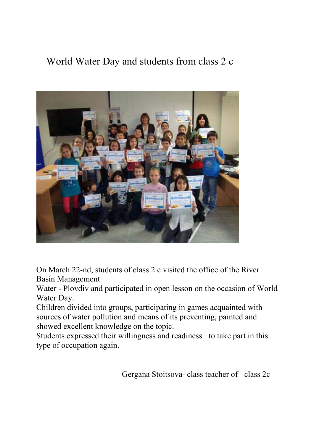#### World Water Day and students from class 2 c



On March 22-nd, students of class 2 c visited the office of the River Basin Management

Water - Plovdiv and participated in open lesson on the occasion of World Water Day.

Children divided into groups, participating in games acquainted with sources of water pollution and means of its preventing, painted and showed excellent knowledge on the topic.

Students expressed their willingness and readiness to take part in this type of occupation again.

Gergana Stoitsova- class teacher of class 2c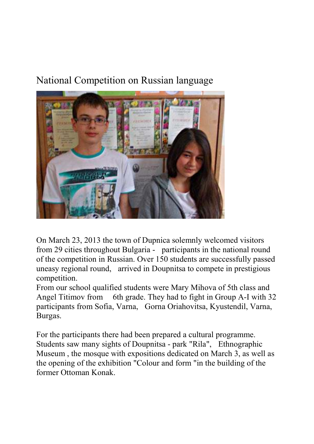#### National Competition on Russian language



On March 23, 2013 the town of Dupnica solemnly welcomed visitors from 29 cities throughout Bulgaria - participants in the national round of the competition in Russian. Over 150 students are successfully passed uneasy regional round, arrived in Doupnitsa to compete in prestigious competition.

From our school qualified students were Mary Mihova of 5th class and Angel Titimov from 6th grade. They had to fight in Group A-I with 32 participants from Sofia, Varna, Gorna Oriahovitsa, Kyustendil, Varna, Burgas.

For the participants there had been prepared a cultural programme. Students saw many sights of Doupnitsa - park "Rila", Ethnographic Museum , the mosque with expositions dedicated on March 3, as well as the opening of the exhibition "Colour and form "in the building of the former Ottoman Konak.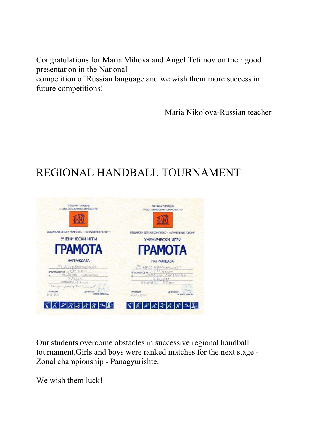Congratulations for Maria Mihova and Angel Tetimov on their good presentation in the National competition of Russian language and we wish them more success in future competitions!

Maria Nikolova-Russian teacher

### REGIONAL HANDBALL TOURNAMENT



Our students overcome obstacles in successive regional handball tournament.Girls and boys were ranked matches for the next stage - Zonal championship - Panagyurishte.

We wish them luck!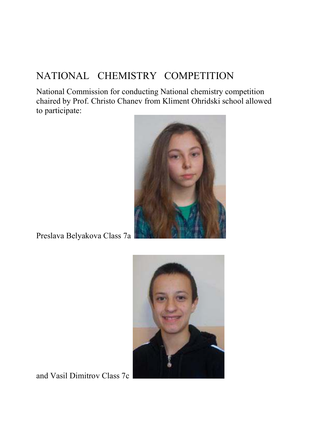#### NATIONAL CHEMISTRY COMPETITION

National Commission for conducting National chemistry competition chaired by Prof. Christo Chanev from Kliment Ohridski school allowed to participate:



Preslava Belyakova Class 7a



and Vasil Dimitrov Class 7c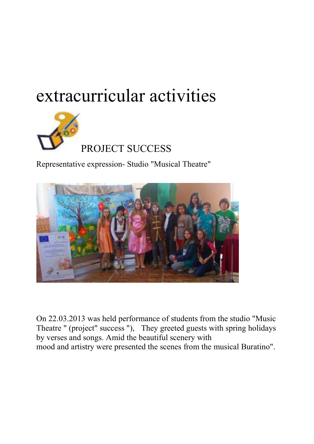# extracurricular activities



Representative expression- Studio "Musical Theatre"



On 22.03.2013 was held performance of students from the studio "Music Theatre " (project" success "), They greeted guests with spring holidays by verses and songs. Amid the beautiful scenery with mood and artistry were presented the scenes from the musical Buratino".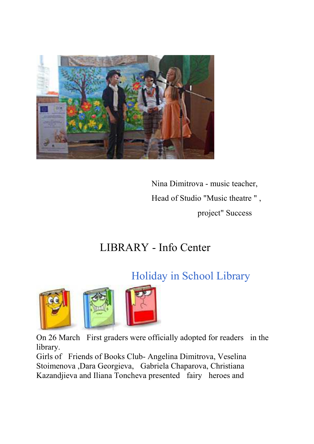

 Nina Dimitrova - music teacher, Head of Studio "Music theatre " , project" Success

#### LIBRARY - Info Center

#### Holiday in School Library



On 26 March First graders were officially adopted for readers in the library.

Girls of Friends of Books Club- Angelina Dimitrova, Veselina Stoimenova ,Dara Georgieva, Gabriela Chaparova, Christiana Kazandjieva and Iliana Toncheva presented fairy heroes and